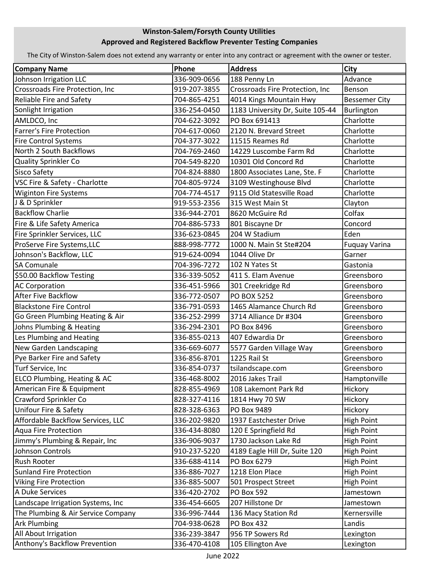## Winston-Salem/Forsyth County Utilities Approved and Registered Backflow Preventer Testing Companies

The City of Winston-Salem does not extend any warranty or enter into any contract or agreement with the owner or tester.

| <b>Company Name</b>                | Phone        | <b>Address</b>                   | City                 |
|------------------------------------|--------------|----------------------------------|----------------------|
| Johnson Irrigation LLC             | 336-909-0656 | 188 Penny Ln                     | Advance              |
| Crossroads Fire Protection, Inc    | 919-207-3855 | Crossroads Fire Protection, Inc  | Benson               |
| Reliable Fire and Safety           | 704-865-4251 | 4014 Kings Mountain Hwy          | <b>Bessemer City</b> |
| Sonlight Irrigation                | 336-254-0450 | 1183 University Dr, Suite 105-44 | Burlington           |
| AMLDCO, Inc                        | 704-622-3092 | PO Box 691413                    | Charlotte            |
| Farrer's Fire Protection           | 704-617-0060 | 2120 N. Brevard Street           | Charlotte            |
| <b>Fire Control Systems</b>        | 704-377-3022 | 11515 Reames Rd                  | Charlotte            |
| North 2 South Backflows            | 704-769-2460 | 14229 Luscombe Farm Rd           | Charlotte            |
| Quality Sprinkler Co               | 704-549-8220 | 10301 Old Concord Rd             | Charlotte            |
| Sisco Safety                       | 704-824-8880 | 1800 Associates Lane, Ste. F     | Charlotte            |
| VSC Fire & Safety - Charlotte      | 704-805-9724 | 3109 Westinghouse Blvd           | Charlotte            |
| <b>Wiginton Fire Systems</b>       | 704-774-4517 | 9115 Old Statesville Road        | Charlotte            |
| J & D Sprinkler                    | 919-553-2356 | 315 West Main St                 | Clayton              |
| <b>Backflow Charlie</b>            | 336-944-2701 | 8620 McGuire Rd                  | Colfax               |
| Fire & Life Safety America         | 704-886-5733 | 801 Biscayne Dr                  | Concord              |
| Fire Sprinkler Services, LLC       | 336-623-0845 | 204 W Stadium                    | Eden                 |
| ProServe Fire Systems, LLC         | 888-998-7772 | 1000 N. Main St Ste#204          | <b>Fuguay Varina</b> |
| Johnson's Backflow, LLC            | 919-624-0094 | 1044 Olive Dr                    | Garner               |
| <b>SA Comunale</b>                 | 704-396-7272 | 102 N Yates St                   | Gastonia             |
| \$50.00 Backflow Testing           | 336-339-5052 | 411 S. Elam Avenue               | Greensboro           |
| <b>AC Corporation</b>              | 336-451-5966 | 301 Creekridge Rd                | Greensboro           |
| <b>After Five Backflow</b>         | 336-772-0507 | <b>PO BOX 5252</b>               | Greensboro           |
| <b>Blackstone Fire Control</b>     | 336-791-0593 | 1465 Alamance Church Rd          | Greensboro           |
| Go Green Plumbing Heating & Air    | 336-252-2999 | 3714 Alliance Dr #304            | Greensboro           |
| Johns Plumbing & Heating           | 336-294-2301 | PO Box 8496                      | Greensboro           |
| Les Plumbing and Heating           | 336-855-0213 | 407 Edwardia Dr                  | Greensboro           |
| New Garden Landscaping             | 336-669-6077 | 5577 Garden Village Way          | Greensboro           |
| Pye Barker Fire and Safety         | 336-856-8701 | 1225 Rail St                     | Greensboro           |
| Turf Service, Inc                  | 336-854-0737 | tsilandscape.com                 | Greensboro           |
| ELCO Plumbing, Heating & AC        | 336-468-8002 | 2016 Jakes Trail                 | Hamptonville         |
| American Fire & Equipment          | 828-855-4969 | 108 Lakemont Park Rd             | Hickory              |
| Crawford Sprinkler Co              | 828-327-4116 | 1814 Hwy 70 SW                   | Hickory              |
| Unifour Fire & Safety              | 828-328-6363 | PO Box 9489                      | Hickory              |
| Affordable Backflow Services, LLC  | 336-202-9820 | 1937 Eastchester Drive           | <b>High Point</b>    |
| Aqua Fire Protection               | 336-434-8080 | 120 E Springfield Rd             | <b>High Point</b>    |
| Jimmy's Plumbing & Repair, Inc     | 336-906-9037 | 1730 Jackson Lake Rd             | <b>High Point</b>    |
| Johnson Controls                   | 910-237-5220 | 4189 Eagle Hill Dr, Suite 120    | High Point           |
| <b>Rush Rooter</b>                 | 336-688-4114 | PO Box 6279                      | High Point           |
| <b>Sunland Fire Protection</b>     | 336-886-7027 | 1218 Elon Place                  | <b>High Point</b>    |
| <b>Viking Fire Protection</b>      | 336-885-5007 | 501 Prospect Street              | <b>High Point</b>    |
| A Duke Services                    | 336-420-2702 | <b>PO Box 592</b>                | Jamestown            |
| Landscape Irrigation Systems, Inc  | 336-454-6605 | 207 Hillstone Dr                 | Jamestown            |
| The Plumbing & Air Service Company | 336-996-7444 | 136 Macy Station Rd              | Kernersville         |
| <b>Ark Plumbing</b>                | 704-938-0628 | <b>PO Box 432</b>                | Landis               |
| All About Irrigation               | 336-239-3847 | 956 TP Sowers Rd                 | Lexington            |
| Anthony's Backflow Prevention      | 336-470-4108 | 105 Ellington Ave                | Lexington            |